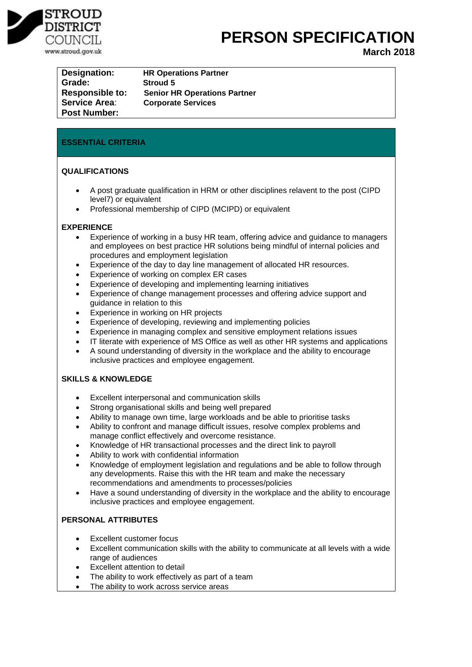

## **PERSON SPECIFICATION**

**March 2018**

| Designation:           | <b>HR Operations Partner</b>        |
|------------------------|-------------------------------------|
| Grade:                 | <b>Stroud 5</b>                     |
| <b>Responsible to:</b> | <b>Senior HR Operations Partner</b> |
| <b>Service Area:</b>   | <b>Corporate Services</b>           |
| <b>Post Number:</b>    |                                     |

## **ESSENTIAL CRITERIA**

## **QUALIFICATIONS**

- A post graduate qualification in HRM or other disciplines relavent to the post (CIPD level7) or equivalent
- Professional membership of CIPD (MCIPD) or equivalent

#### **EXPERIENCE**

- Experience of working in a busy HR team, offering advice and guidance to managers and employees on best practice HR solutions being mindful of internal policies and procedures and employment legislation
- Experience of the day to day line management of allocated HR resources.
- Experience of working on complex ER cases
- Experience of developing and implementing learning initiatives
- Experience of change management processes and offering advice support and guidance in relation to this
- Experience in working on HR projects
- Experience of developing, reviewing and implementing policies
- Experience in managing complex and sensitive employment relations issues
- IT literate with experience of MS Office as well as other HR systems and applications
- A sound understanding of diversity in the workplace and the ability to encourage inclusive practices and employee engagement.

## **SKILLS & KNOWLEDGE**

- Excellent interpersonal and communication skills
- Strong organisational skills and being well prepared
- Ability to manage own time, large workloads and be able to prioritise tasks
- Ability to confront and manage difficult issues, resolve complex problems and manage conflict effectively and overcome resistance.
- Knowledge of HR transactional processes and the direct link to payroll
- Ability to work with confidential information
- Knowledge of employment legislation and regulations and be able to follow through any developments. Raise this with the HR team and make the necessary recommendations and amendments to processes/policies
- Have a sound understanding of diversity in the workplace and the ability to encourage inclusive practices and employee engagement.

## **PERSONAL ATTRIBUTES**

- Excellent customer focus
- Excellent communication skills with the ability to communicate at all levels with a wide range of audiences
- Excellent attention to detail
- The ability to work effectively as part of a team
- The ability to work across service areas